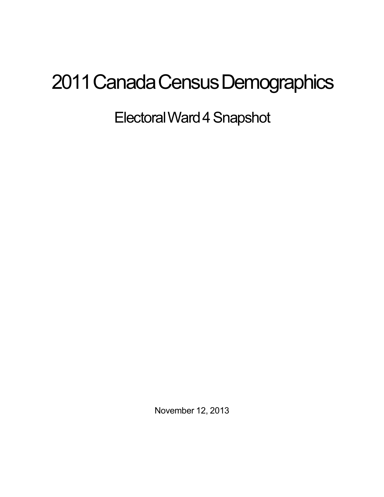## 2011 Canada Census Demographics

ElectoralWard4Snapshot

November 12, 2013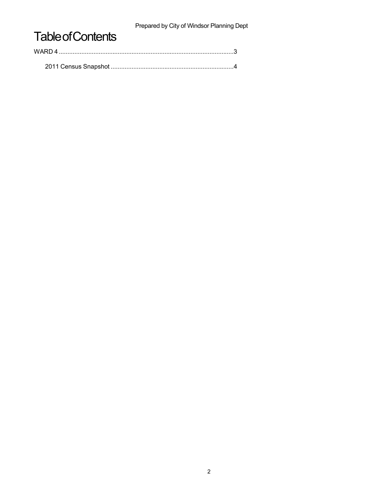Prepared by City of Windsor Planning Dept

## **Table of Contents**

| WARD 4 |  |  |
|--------|--|--|
|        |  |  |
|        |  |  |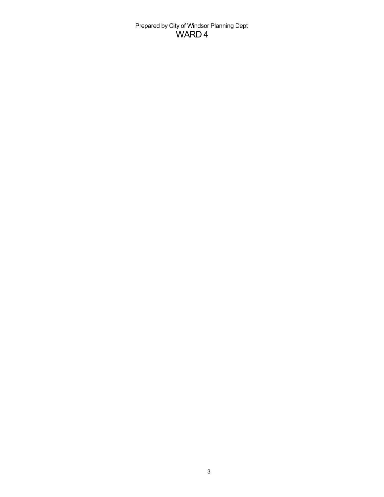Prepared by City of Windsor Planning Dept WARD 4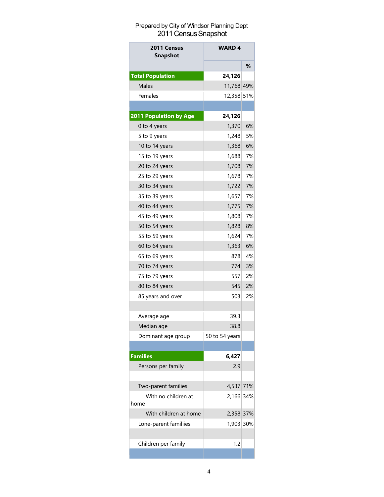## Prepared by City of Windsor Planning Dept 2011 Census Snapshot

| 2011 Census<br><b>Snapshot</b> | <b>WARD 4</b>  |    |
|--------------------------------|----------------|----|
|                                |                | %  |
| <b>Total Population</b>        | 24,126         |    |
| <b>Males</b>                   | 11,768 49%     |    |
| Females                        | 12,358 51%     |    |
|                                |                |    |
| 2011 Population by Age         | 24,126         |    |
| 0 to 4 years                   | 1,370          | 6% |
| 5 to 9 years                   | 1,248          | 5% |
| 10 to 14 years                 | 1,368          | 6% |
| 15 to 19 years                 | 1,688          | 7% |
| 20 to 24 years                 | 1,708          | 7% |
| 25 to 29 years                 | 1,678          | 7% |
| 30 to 34 years                 | 1,722          | 7% |
| 35 to 39 years                 | 1,657          | 7% |
| 40 to 44 years                 | 1,775          | 7% |
| 45 to 49 years                 | 1,808          | 7% |
| 50 to 54 years                 | 1,828          | 8% |
| 55 to 59 years                 | 1,624          | 7% |
| 60 to 64 years                 | 1,363          | 6% |
| 65 to 69 years                 | 8781           | 4% |
| 70 to 74 years                 | 774            | 3% |
| 75 to 79 years                 | 557            | 2% |
| 80 to 84 years                 | 545            | 2% |
| 85 years and over              | 503            | 2% |
|                                |                |    |
| Average age                    | 39.3           |    |
| Median age                     | 38.8           |    |
| Dominant age group             | 50 to 54 years |    |
|                                |                |    |
| <b>Families</b>                | 6,427          |    |
| Persons per family             | 2.9            |    |
|                                |                |    |
| Two-parent families            | 4,537 71%      |    |
| With no children at            | 2,166 34%      |    |
| home                           |                |    |
| With children at home          | 2,358 37%      |    |
| Lone-parent familiies          | 1,903 30%      |    |
|                                |                |    |
| Children per family            | 1.2            |    |
|                                |                |    |